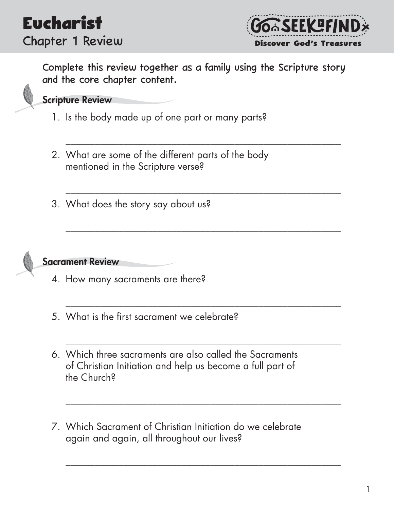



\_\_\_\_\_\_\_\_\_\_\_\_\_\_\_\_\_\_\_\_\_\_\_\_\_\_\_\_\_\_\_\_\_\_\_\_\_\_\_\_\_\_\_\_\_\_\_\_\_\_\_\_\_\_\_\_\_

\_\_\_\_\_\_\_\_\_\_\_\_\_\_\_\_\_\_\_\_\_\_\_\_\_\_\_\_\_\_\_\_\_\_\_\_\_\_\_\_\_\_\_\_\_\_\_\_\_\_\_\_\_\_\_\_\_

\_\_\_\_\_\_\_\_\_\_\_\_\_\_\_\_\_\_\_\_\_\_\_\_\_\_\_\_\_\_\_\_\_\_\_\_\_\_\_\_\_\_\_\_\_\_\_\_\_\_\_\_\_\_\_\_\_

\_\_\_\_\_\_\_\_\_\_\_\_\_\_\_\_\_\_\_\_\_\_\_\_\_\_\_\_\_\_\_\_\_\_\_\_\_\_\_\_\_\_\_\_\_\_\_\_\_\_\_\_\_\_\_\_\_

\_\_\_\_\_\_\_\_\_\_\_\_\_\_\_\_\_\_\_\_\_\_\_\_\_\_\_\_\_\_\_\_\_\_\_\_\_\_\_\_\_\_\_\_\_\_\_\_\_\_\_\_\_\_\_\_\_

\_\_\_\_\_\_\_\_\_\_\_\_\_\_\_\_\_\_\_\_\_\_\_\_\_\_\_\_\_\_\_\_\_\_\_\_\_\_\_\_\_\_\_\_\_\_\_\_\_\_\_\_\_\_\_\_\_

\_\_\_\_\_\_\_\_\_\_\_\_\_\_\_\_\_\_\_\_\_\_\_\_\_\_\_\_\_\_\_\_\_\_\_\_\_\_\_\_\_\_\_\_\_\_\_\_\_\_\_\_\_\_\_\_\_

# Scripture Review

- 1. Is the body made up of one part or many parts?
- 2. What are some of the different parts of the body mentioned in the Scripture verse?
- 3. What does the story say about us?



- 4. How many sacraments are there?
- 5. What is the first sacrament we celebrate?
- 6. Which three sacraments are also called the Sacraments of Christian Initiation and help us become a full part of the Church?
- 7. Which Sacrament of Christian Initiation do we celebrate again and again, all throughout our lives?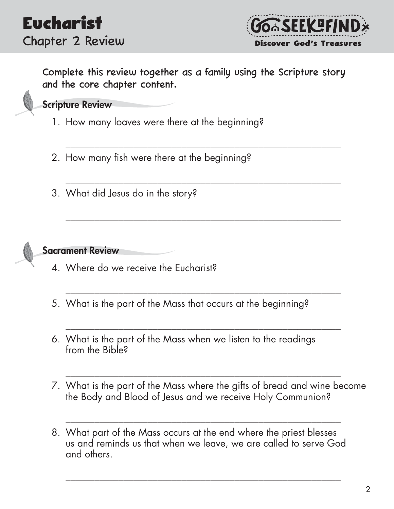



\_\_\_\_\_\_\_\_\_\_\_\_\_\_\_\_\_\_\_\_\_\_\_\_\_\_\_\_\_\_\_\_\_\_\_\_\_\_\_\_\_\_\_\_\_\_\_\_\_\_\_\_\_\_\_\_\_

\_\_\_\_\_\_\_\_\_\_\_\_\_\_\_\_\_\_\_\_\_\_\_\_\_\_\_\_\_\_\_\_\_\_\_\_\_\_\_\_\_\_\_\_\_\_\_\_\_\_\_\_\_\_\_\_\_

\_\_\_\_\_\_\_\_\_\_\_\_\_\_\_\_\_\_\_\_\_\_\_\_\_\_\_\_\_\_\_\_\_\_\_\_\_\_\_\_\_\_\_\_\_\_\_\_\_\_\_\_\_\_\_\_\_

\_\_\_\_\_\_\_\_\_\_\_\_\_\_\_\_\_\_\_\_\_\_\_\_\_\_\_\_\_\_\_\_\_\_\_\_\_\_\_\_\_\_\_\_\_\_\_\_\_\_\_\_\_\_\_\_\_

\_\_\_\_\_\_\_\_\_\_\_\_\_\_\_\_\_\_\_\_\_\_\_\_\_\_\_\_\_\_\_\_\_\_\_\_\_\_\_\_\_\_\_\_\_\_\_\_\_\_\_\_\_\_\_\_\_

\_\_\_\_\_\_\_\_\_\_\_\_\_\_\_\_\_\_\_\_\_\_\_\_\_\_\_\_\_\_\_\_\_\_\_\_\_\_\_\_\_\_\_\_\_\_\_\_\_\_\_\_\_\_\_\_\_

#### Scripture Review

- 1. How many loaves were there at the beginning?
- 2. How many fish were there at the beginning?
- 3. What did Jesus do in the story?



Sacrament Review

- 4. Where do we receive the Eucharist?
- 5. What is the part of the Mass that occurs at the beginning?
- 6. What is the part of the Mass when we listen to the readings from the Bible?
- 7. What is the part of the Mass where the gifts of bread and wine become the Body and Blood of Jesus and we receive Holy Communion?
- 8. What part of the Mass occurs at the end where the priest blesses us and reminds us that when we leave, we are called to serve God and others.

\_\_\_\_\_\_\_\_\_\_\_\_\_\_\_\_\_\_\_\_\_\_\_\_\_\_\_\_\_\_\_\_\_\_\_\_\_\_\_\_\_\_\_\_\_\_\_\_\_\_\_\_\_\_\_\_\_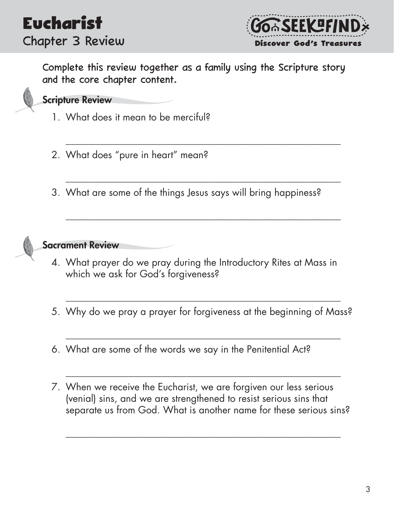



\_\_\_\_\_\_\_\_\_\_\_\_\_\_\_\_\_\_\_\_\_\_\_\_\_\_\_\_\_\_\_\_\_\_\_\_\_\_\_\_\_\_\_\_\_\_\_\_\_\_\_\_\_\_\_\_\_

\_\_\_\_\_\_\_\_\_\_\_\_\_\_\_\_\_\_\_\_\_\_\_\_\_\_\_\_\_\_\_\_\_\_\_\_\_\_\_\_\_\_\_\_\_\_\_\_\_\_\_\_\_\_\_\_\_

\_\_\_\_\_\_\_\_\_\_\_\_\_\_\_\_\_\_\_\_\_\_\_\_\_\_\_\_\_\_\_\_\_\_\_\_\_\_\_\_\_\_\_\_\_\_\_\_\_\_\_\_\_\_\_\_\_



## Scripture Review

- 1. What does it mean to be merciful?
- 2. What does "pure in heart" mean?
- 3. What are some of the things Jesus says will bring happiness?



# Sacrament Review

- 4. What prayer do we pray during the Introductory Rites at Mass in which we ask for God's forgiveness?
- 5. Why do we pray a prayer for forgiveness at the beginning of Mass?

\_\_\_\_\_\_\_\_\_\_\_\_\_\_\_\_\_\_\_\_\_\_\_\_\_\_\_\_\_\_\_\_\_\_\_\_\_\_\_\_\_\_\_\_\_\_\_\_\_\_\_\_\_\_\_\_\_

\_\_\_\_\_\_\_\_\_\_\_\_\_\_\_\_\_\_\_\_\_\_\_\_\_\_\_\_\_\_\_\_\_\_\_\_\_\_\_\_\_\_\_\_\_\_\_\_\_\_\_\_\_\_\_\_\_

\_\_\_\_\_\_\_\_\_\_\_\_\_\_\_\_\_\_\_\_\_\_\_\_\_\_\_\_\_\_\_\_\_\_\_\_\_\_\_\_\_\_\_\_\_\_\_\_\_\_\_\_\_\_\_\_\_

- 6. What are some of the words we say in the Penitential Act?
- 7. When we receive the Eucharist, we are forgiven our less serious (venial) sins, and we are strengthened to resist serious sins that separate us from God. What is another name for these serious sins?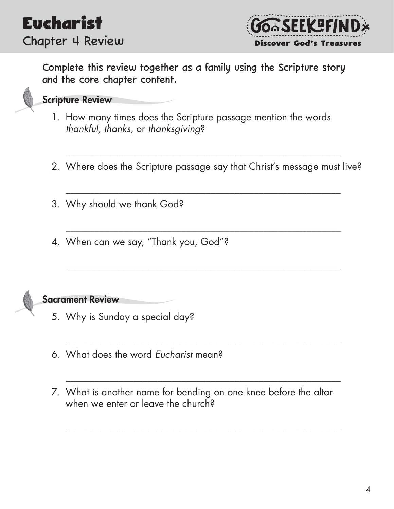





## Scripture Review

- 1. How many times does the Scripture passage mention the words *thankful, thanks,* or *thanksgiving*?
- 2. Where does the Scripture passage say that Christ's message must live?

\_\_\_\_\_\_\_\_\_\_\_\_\_\_\_\_\_\_\_\_\_\_\_\_\_\_\_\_\_\_\_\_\_\_\_\_\_\_\_\_\_\_\_\_\_\_\_\_\_\_\_\_\_\_\_\_\_

\_\_\_\_\_\_\_\_\_\_\_\_\_\_\_\_\_\_\_\_\_\_\_\_\_\_\_\_\_\_\_\_\_\_\_\_\_\_\_\_\_\_\_\_\_\_\_\_\_\_\_\_\_\_\_\_\_

\_\_\_\_\_\_\_\_\_\_\_\_\_\_\_\_\_\_\_\_\_\_\_\_\_\_\_\_\_\_\_\_\_\_\_\_\_\_\_\_\_\_\_\_\_\_\_\_\_\_\_\_\_\_\_\_\_

\_\_\_\_\_\_\_\_\_\_\_\_\_\_\_\_\_\_\_\_\_\_\_\_\_\_\_\_\_\_\_\_\_\_\_\_\_\_\_\_\_\_\_\_\_\_\_\_\_\_\_\_\_\_\_\_\_

\_\_\_\_\_\_\_\_\_\_\_\_\_\_\_\_\_\_\_\_\_\_\_\_\_\_\_\_\_\_\_\_\_\_\_\_\_\_\_\_\_\_\_\_\_\_\_\_\_\_\_\_\_\_\_\_\_

\_\_\_\_\_\_\_\_\_\_\_\_\_\_\_\_\_\_\_\_\_\_\_\_\_\_\_\_\_\_\_\_\_\_\_\_\_\_\_\_\_\_\_\_\_\_\_\_\_\_\_\_\_\_\_\_\_

\_\_\_\_\_\_\_\_\_\_\_\_\_\_\_\_\_\_\_\_\_\_\_\_\_\_\_\_\_\_\_\_\_\_\_\_\_\_\_\_\_\_\_\_\_\_\_\_\_\_\_\_\_\_\_\_\_

- 3. Why should we thank God?
- 4. When can we say, "Thank you, God"?



- 5. Why is Sunday a special day?
- 6. What does the word *Eucharist* mean?
- 7. What is another name for bending on one knee before the altar when we enter or leave the church?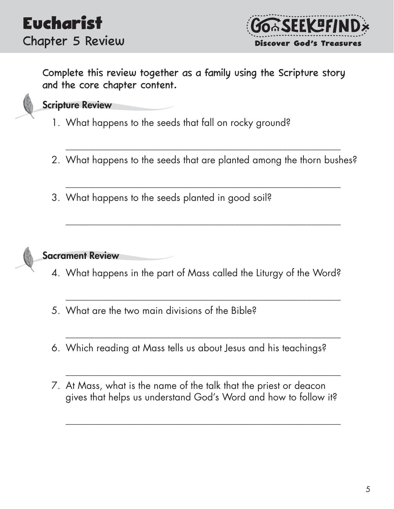





## Scripture Review

- 1. What happens to the seeds that fall on rocky ground?
- 2. What happens to the seeds that are planted among the thorn bushes?

\_\_\_\_\_\_\_\_\_\_\_\_\_\_\_\_\_\_\_\_\_\_\_\_\_\_\_\_\_\_\_\_\_\_\_\_\_\_\_\_\_\_\_\_\_\_\_\_\_\_\_\_\_\_\_\_\_

\_\_\_\_\_\_\_\_\_\_\_\_\_\_\_\_\_\_\_\_\_\_\_\_\_\_\_\_\_\_\_\_\_\_\_\_\_\_\_\_\_\_\_\_\_\_\_\_\_\_\_\_\_\_\_\_\_

\_\_\_\_\_\_\_\_\_\_\_\_\_\_\_\_\_\_\_\_\_\_\_\_\_\_\_\_\_\_\_\_\_\_\_\_\_\_\_\_\_\_\_\_\_\_\_\_\_\_\_\_\_\_\_\_\_

3. What happens to the seeds planted in good soil?



### Sacrament Review

4. What happens in the part of Mass called the Liturgy of the Word?

\_\_\_\_\_\_\_\_\_\_\_\_\_\_\_\_\_\_\_\_\_\_\_\_\_\_\_\_\_\_\_\_\_\_\_\_\_\_\_\_\_\_\_\_\_\_\_\_\_\_\_\_\_\_\_\_\_

\_\_\_\_\_\_\_\_\_\_\_\_\_\_\_\_\_\_\_\_\_\_\_\_\_\_\_\_\_\_\_\_\_\_\_\_\_\_\_\_\_\_\_\_\_\_\_\_\_\_\_\_\_\_\_\_\_

\_\_\_\_\_\_\_\_\_\_\_\_\_\_\_\_\_\_\_\_\_\_\_\_\_\_\_\_\_\_\_\_\_\_\_\_\_\_\_\_\_\_\_\_\_\_\_\_\_\_\_\_\_\_\_\_\_

- 5. What are the two main divisions of the Bible?
- 6. Which reading at Mass tells us about Jesus and his teachings?
- 7. At Mass, what is the name of the talk that the priest or deacon gives that helps us understand God's Word and how to follow it?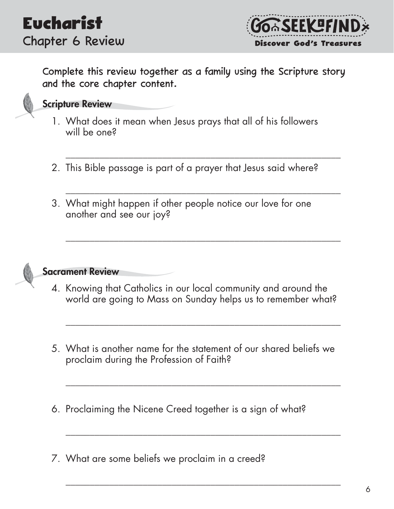





Scripture Review

- 1. What does it mean when Jesus prays that all of his followers will be one?
- 2. This Bible passage is part of a prayer that Jesus said where?

\_\_\_\_\_\_\_\_\_\_\_\_\_\_\_\_\_\_\_\_\_\_\_\_\_\_\_\_\_\_\_\_\_\_\_\_\_\_\_\_\_\_\_\_\_\_\_\_\_\_\_\_\_\_\_\_\_

\_\_\_\_\_\_\_\_\_\_\_\_\_\_\_\_\_\_\_\_\_\_\_\_\_\_\_\_\_\_\_\_\_\_\_\_\_\_\_\_\_\_\_\_\_\_\_\_\_\_\_\_\_\_\_\_\_

\_\_\_\_\_\_\_\_\_\_\_\_\_\_\_\_\_\_\_\_\_\_\_\_\_\_\_\_\_\_\_\_\_\_\_\_\_\_\_\_\_\_\_\_\_\_\_\_\_\_\_\_\_\_\_\_\_

3. What might happen if other people notice our love for one another and see our joy?



## Sacrament Review

4. Knowing that Catholics in our local community and around the world are going to Mass on Sunday helps us to remember what?

\_\_\_\_\_\_\_\_\_\_\_\_\_\_\_\_\_\_\_\_\_\_\_\_\_\_\_\_\_\_\_\_\_\_\_\_\_\_\_\_\_\_\_\_\_\_\_\_\_\_\_\_\_\_\_\_\_

\_\_\_\_\_\_\_\_\_\_\_\_\_\_\_\_\_\_\_\_\_\_\_\_\_\_\_\_\_\_\_\_\_\_\_\_\_\_\_\_\_\_\_\_\_\_\_\_\_\_\_\_\_\_\_\_\_

\_\_\_\_\_\_\_\_\_\_\_\_\_\_\_\_\_\_\_\_\_\_\_\_\_\_\_\_\_\_\_\_\_\_\_\_\_\_\_\_\_\_\_\_\_\_\_\_\_\_\_\_\_\_\_\_\_

- 5. What is another name for the statement of our shared beliefs we proclaim during the Profession of Faith?
- 6. Proclaiming the Nicene Creed together is a sign of what?
- 7. What are some beliefs we proclaim in a creed?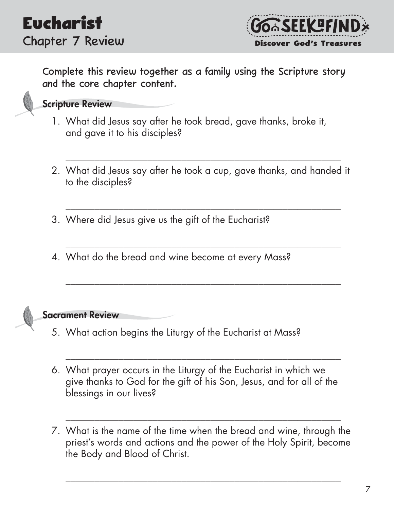





## Scripture Review

- 1. What did Jesus say after he took bread, gave thanks, broke it, and gave it to his disciples?
- 2. What did Jesus say after he took a cup, gave thanks, and handed it to the disciples?

\_\_\_\_\_\_\_\_\_\_\_\_\_\_\_\_\_\_\_\_\_\_\_\_\_\_\_\_\_\_\_\_\_\_\_\_\_\_\_\_\_\_\_\_\_\_\_\_\_\_\_\_\_\_\_\_\_

\_\_\_\_\_\_\_\_\_\_\_\_\_\_\_\_\_\_\_\_\_\_\_\_\_\_\_\_\_\_\_\_\_\_\_\_\_\_\_\_\_\_\_\_\_\_\_\_\_\_\_\_\_\_\_\_\_

\_\_\_\_\_\_\_\_\_\_\_\_\_\_\_\_\_\_\_\_\_\_\_\_\_\_\_\_\_\_\_\_\_\_\_\_\_\_\_\_\_\_\_\_\_\_\_\_\_\_\_\_\_\_\_\_\_

\_\_\_\_\_\_\_\_\_\_\_\_\_\_\_\_\_\_\_\_\_\_\_\_\_\_\_\_\_\_\_\_\_\_\_\_\_\_\_\_\_\_\_\_\_\_\_\_\_\_\_\_\_\_\_\_\_

- 3. Where did Jesus give us the gift of the Eucharist?
- 4. What do the bread and wine become at every Mass?



# Sacrament Review

- 5. What action begins the Liturgy of the Eucharist at Mass?
- 6. What prayer occurs in the Liturgy of the Eucharist in which we give thanks to God for the gift of his Son, Jesus, and for all of the blessings in our lives?

\_\_\_\_\_\_\_\_\_\_\_\_\_\_\_\_\_\_\_\_\_\_\_\_\_\_\_\_\_\_\_\_\_\_\_\_\_\_\_\_\_\_\_\_\_\_\_\_\_\_\_\_\_\_\_\_\_

7. What is the name of the time when the bread and wine, through the priest's words and actions and the power of the Holy Spirit, become the Body and Blood of Christ.

\_\_\_\_\_\_\_\_\_\_\_\_\_\_\_\_\_\_\_\_\_\_\_\_\_\_\_\_\_\_\_\_\_\_\_\_\_\_\_\_\_\_\_\_\_\_\_\_\_\_\_\_\_\_\_\_\_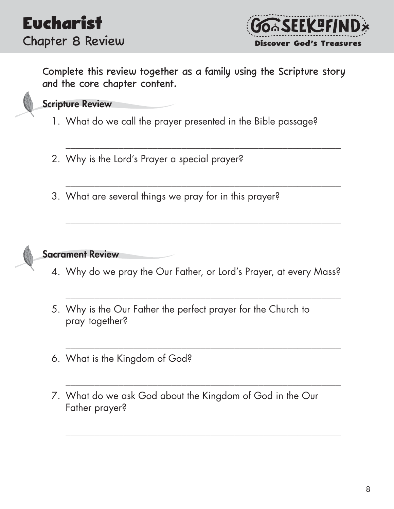



\_\_\_\_\_\_\_\_\_\_\_\_\_\_\_\_\_\_\_\_\_\_\_\_\_\_\_\_\_\_\_\_\_\_\_\_\_\_\_\_\_\_\_\_\_\_\_\_\_\_\_\_\_\_\_\_\_

\_\_\_\_\_\_\_\_\_\_\_\_\_\_\_\_\_\_\_\_\_\_\_\_\_\_\_\_\_\_\_\_\_\_\_\_\_\_\_\_\_\_\_\_\_\_\_\_\_\_\_\_\_\_\_\_\_

\_\_\_\_\_\_\_\_\_\_\_\_\_\_\_\_\_\_\_\_\_\_\_\_\_\_\_\_\_\_\_\_\_\_\_\_\_\_\_\_\_\_\_\_\_\_\_\_\_\_\_\_\_\_\_\_\_

### Scripture Review

- 1. What do we call the prayer presented in the Bible passage?
- 2. Why is the Lord's Prayer a special prayer?
- 3. What are several things we pray for in this prayer?



Sacrament Review

4. Why do we pray the Our Father, or Lord's Prayer, at every Mass?

\_\_\_\_\_\_\_\_\_\_\_\_\_\_\_\_\_\_\_\_\_\_\_\_\_\_\_\_\_\_\_\_\_\_\_\_\_\_\_\_\_\_\_\_\_\_\_\_\_\_\_\_\_\_\_\_\_

\_\_\_\_\_\_\_\_\_\_\_\_\_\_\_\_\_\_\_\_\_\_\_\_\_\_\_\_\_\_\_\_\_\_\_\_\_\_\_\_\_\_\_\_\_\_\_\_\_\_\_\_\_\_\_\_\_

\_\_\_\_\_\_\_\_\_\_\_\_\_\_\_\_\_\_\_\_\_\_\_\_\_\_\_\_\_\_\_\_\_\_\_\_\_\_\_\_\_\_\_\_\_\_\_\_\_\_\_\_\_\_\_\_\_

- 5. Why is the Our Father the perfect prayer for the Church to pray together?
- 6. What is the Kingdom of God?
- 7. What do we ask God about the Kingdom of God in the Our Father prayer?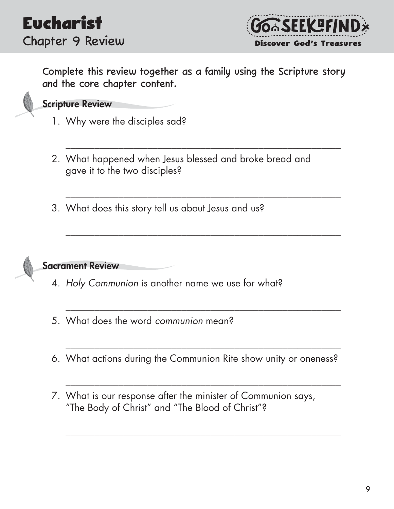



\_\_\_\_\_\_\_\_\_\_\_\_\_\_\_\_\_\_\_\_\_\_\_\_\_\_\_\_\_\_\_\_\_\_\_\_\_\_\_\_\_\_\_\_\_\_\_\_\_\_\_\_\_\_\_\_\_

\_\_\_\_\_\_\_\_\_\_\_\_\_\_\_\_\_\_\_\_\_\_\_\_\_\_\_\_\_\_\_\_\_\_\_\_\_\_\_\_\_\_\_\_\_\_\_\_\_\_\_\_\_\_\_\_\_

\_\_\_\_\_\_\_\_\_\_\_\_\_\_\_\_\_\_\_\_\_\_\_\_\_\_\_\_\_\_\_\_\_\_\_\_\_\_\_\_\_\_\_\_\_\_\_\_\_\_\_\_\_\_\_\_\_

\_\_\_\_\_\_\_\_\_\_\_\_\_\_\_\_\_\_\_\_\_\_\_\_\_\_\_\_\_\_\_\_\_\_\_\_\_\_\_\_\_\_\_\_\_\_\_\_\_\_\_\_\_\_\_\_\_

\_\_\_\_\_\_\_\_\_\_\_\_\_\_\_\_\_\_\_\_\_\_\_\_\_\_\_\_\_\_\_\_\_\_\_\_\_\_\_\_\_\_\_\_\_\_\_\_\_\_\_\_\_\_\_\_\_

\_\_\_\_\_\_\_\_\_\_\_\_\_\_\_\_\_\_\_\_\_\_\_\_\_\_\_\_\_\_\_\_\_\_\_\_\_\_\_\_\_\_\_\_\_\_\_\_\_\_\_\_\_\_\_\_\_

\_\_\_\_\_\_\_\_\_\_\_\_\_\_\_\_\_\_\_\_\_\_\_\_\_\_\_\_\_\_\_\_\_\_\_\_\_\_\_\_\_\_\_\_\_\_\_\_\_\_\_\_\_\_\_\_\_

#### Scripture Review

- 1. Why were the disciples sad?
- 2. What happened when Jesus blessed and broke bread and gave it to the two disciples?
- 3. What does this story tell us about Jesus and us?



- 4. *Holy Communion* is another name we use for what?
- 5. What does the word *communion* mean?
- 6. What actions during the Communion Rite show unity or oneness?
- 7. What is our response after the minister of Communion says, "The Body of Christ" and "The Blood of Christ"?